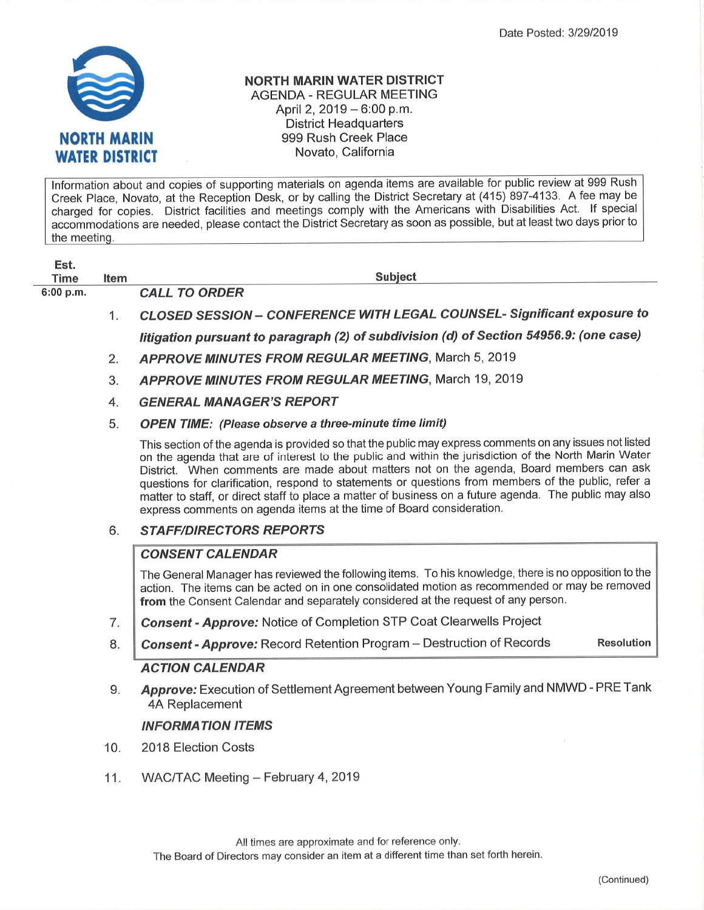

## NORTH MARIN WATER DISTRICT AGENDA - REGULAR MEETING April 2, 2019 - 6:00 p.m. District Headquarters 999 Rush Creek Place Novato, California

Information about and copies of supporting materials on agenda items are available for public review at 999 Rush Creek Place, Novato, at the Reception Desk, or by calling the District Secretary at (415) 897-4133. A fee may be charged for copies. District facilities and meetings comply with the Americans with Disabilities Act. If special accommodations are needed, please contact the District Secretary as soon as possible, but at least two days prior to the meeting.

| Est.        |             |                                                                                                                                                                                                                                                                                                                                                                                                                                                                                                                                                                                                      |
|-------------|-------------|------------------------------------------------------------------------------------------------------------------------------------------------------------------------------------------------------------------------------------------------------------------------------------------------------------------------------------------------------------------------------------------------------------------------------------------------------------------------------------------------------------------------------------------------------------------------------------------------------|
| <b>Time</b> | <b>Item</b> | <b>Subject</b>                                                                                                                                                                                                                                                                                                                                                                                                                                                                                                                                                                                       |
| 6:00 p.m.   |             | <b>CALL TO ORDER</b>                                                                                                                                                                                                                                                                                                                                                                                                                                                                                                                                                                                 |
|             | 1.          | CLOSED SESSION - CONFERENCE WITH LEGAL COUNSEL- Significant exposure to                                                                                                                                                                                                                                                                                                                                                                                                                                                                                                                              |
|             |             | litigation pursuant to paragraph (2) of subdivision (d) of Section 54956.9: (one case)                                                                                                                                                                                                                                                                                                                                                                                                                                                                                                               |
|             | 2.          | <b>APPROVE MINUTES FROM REGULAR MEETING, March 5, 2019</b>                                                                                                                                                                                                                                                                                                                                                                                                                                                                                                                                           |
|             | 3.          | <b>APPROVE MINUTES FROM REGULAR MEETING, March 19, 2019</b>                                                                                                                                                                                                                                                                                                                                                                                                                                                                                                                                          |
|             | 4.          | <b>GENERAL MANAGER'S REPORT</b>                                                                                                                                                                                                                                                                                                                                                                                                                                                                                                                                                                      |
|             | 5.          | <b>OPEN TIME:</b> (Please observe a three-minute time limit)                                                                                                                                                                                                                                                                                                                                                                                                                                                                                                                                         |
|             |             | This section of the agenda is provided so that the public may express comments on any issues not listed<br>on the agenda that are of interest to the public and within the jurisdiction of the North Marin Water<br>District. When comments are made about matters not on the agenda, Board members can ask<br>questions for clarification, respond to statements or questions from members of the public, refer a<br>matter to staff, or direct staff to place a matter of business on a future agenda. The public may also<br>express comments on agenda items at the time of Board consideration. |
|             | 6.          | <b>STAFF/DIRECTORS REPORTS</b>                                                                                                                                                                                                                                                                                                                                                                                                                                                                                                                                                                       |
|             |             | <b>CONSENT CALENDAR</b>                                                                                                                                                                                                                                                                                                                                                                                                                                                                                                                                                                              |
|             |             | The General Manager has reviewed the following items. To his knowledge, there is no opposition to the<br>action. The items can be acted on in one consolidated motion as recommended or may be removed<br>from the Consent Calendar and separately considered at the request of any person.                                                                                                                                                                                                                                                                                                          |
|             | 7.          | Consent - Approve: Notice of Completion STP Coat Clearwells Project                                                                                                                                                                                                                                                                                                                                                                                                                                                                                                                                  |
|             | 8.          | <b>Consent - Approve:</b> Record Retention Program - Destruction of Records<br><b>Resolution</b>                                                                                                                                                                                                                                                                                                                                                                                                                                                                                                     |
|             |             | <b>ACTION CALENDAR</b>                                                                                                                                                                                                                                                                                                                                                                                                                                                                                                                                                                               |
|             | 9.          | Approve: Execution of Settlement Agreement between Young Family and NMWD - PRE Tank<br>4A Replacement                                                                                                                                                                                                                                                                                                                                                                                                                                                                                                |
|             |             | <b>INFORMATION ITEMS</b>                                                                                                                                                                                                                                                                                                                                                                                                                                                                                                                                                                             |
|             |             |                                                                                                                                                                                                                                                                                                                                                                                                                                                                                                                                                                                                      |
|             | 10.         | 2018 Election Costs                                                                                                                                                                                                                                                                                                                                                                                                                                                                                                                                                                                  |